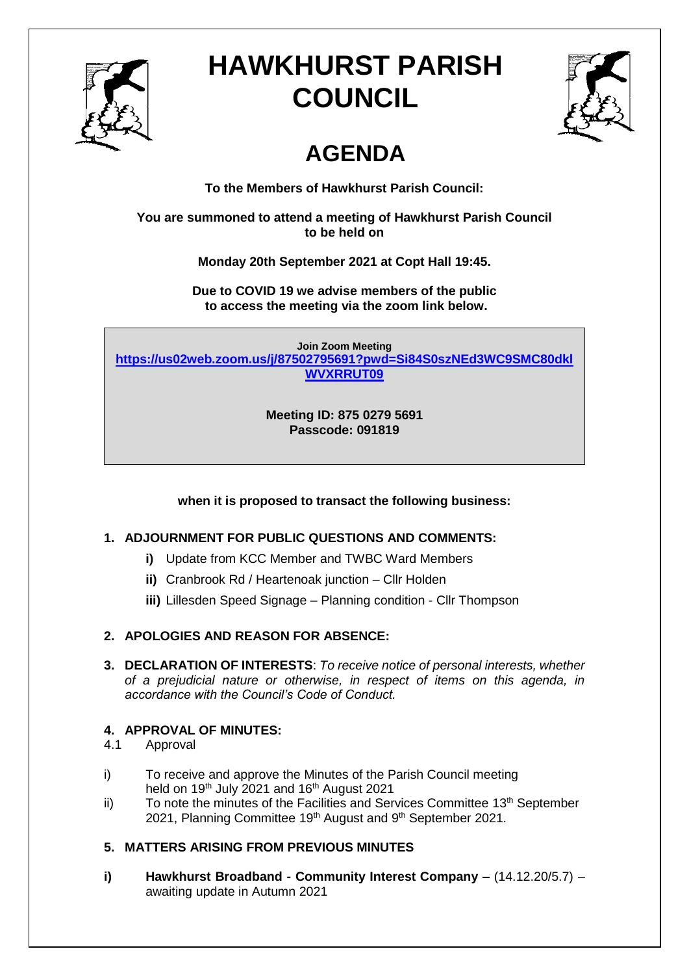

# **HAWKHURST PARISH COUNCIL**



# **AGENDA**

**To the Members of Hawkhurst Parish Council:**

**You are summoned to attend a meeting of Hawkhurst Parish Council to be held on**

**Monday 20th September 2021 at Copt Hall 19:45.**

**Due to COVID 19 we advise members of the public to access the meeting via the zoom link below.**

**Join Zoom Meeting [https://us02web.zoom.us/j/87502795691?pwd=Si84S0szNEd3WC9SMC80dkl](https://us02web.zoom.us/j/87502795691?pwd=Si84S0szNEd3WC9SMC80dklWVXRRUT09) [WVXRRUT09](https://us02web.zoom.us/j/87502795691?pwd=Si84S0szNEd3WC9SMC80dklWVXRRUT09)**

> **Meeting ID: 875 0279 5691 Passcode: 091819**

**when it is proposed to transact the following business:**

# **1. ADJOURNMENT FOR PUBLIC QUESTIONS AND COMMENTS:**

- **i)** Update from KCC Member and TWBC Ward Members
- **ii)** Cranbrook Rd / Heartenoak junction Cllr Holden
- **iii)** Lillesden Speed Signage Planning condition Cllr Thompson

# **2. APOLOGIES AND REASON FOR ABSENCE:**

**3. DECLARATION OF INTERESTS**: *To receive notice of personal interests, whether of a prejudicial nature or otherwise, in respect of items on this agenda, in accordance with the Council's Code of Conduct.*

# **4. APPROVAL OF MINUTES:**

- 4.1 Approval
- i) To receive and approve the Minutes of the Parish Council meeting held on 19<sup>th</sup> July 2021 and 16<sup>th</sup> August 2021
- $\mathbf{ii}$  To note the minutes of the Facilities and Services Committee 13<sup>th</sup> September 2021, Planning Committee 19<sup>th</sup> August and 9<sup>th</sup> September 2021.

# **5. MATTERS ARISING FROM PREVIOUS MINUTES**

**i) Hawkhurst Broadband - Community Interest Company –** (14.12.20/5.7) – awaiting update in Autumn 2021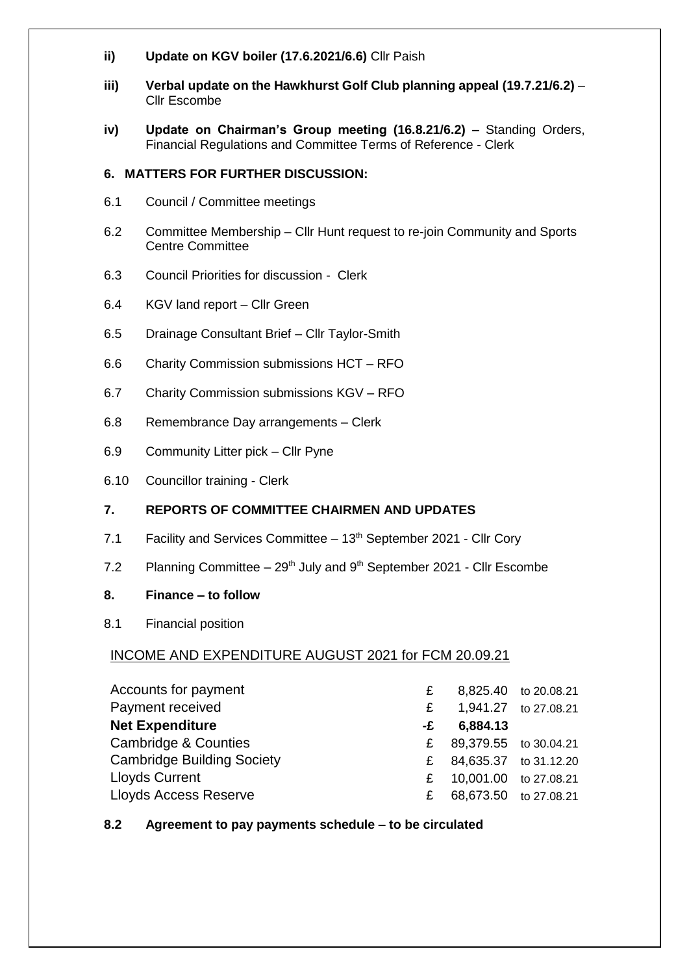- **ii) Update on KGV boiler (17.6.2021/6.6)** Cllr Paish
- **iii) Verbal update on the Hawkhurst Golf Club planning appeal (19.7.21/6.2)** Cllr Escombe
- **iv) Update on Chairman's Group meeting (16.8.21/6.2) –** Standing Orders, Financial Regulations and Committee Terms of Reference - Clerk

### **6. MATTERS FOR FURTHER DISCUSSION:**

- 6.1 Council / Committee meetings
- 6.2 Committee Membership Cllr Hunt request to re-join Community and Sports Centre Committee
- 6.3 Council Priorities for discussion Clerk
- 6.4 KGV land report Cllr Green
- 6.5 Drainage Consultant Brief Cllr Taylor-Smith
- 6.6 Charity Commission submissions HCT RFO
- 6.7 Charity Commission submissions KGV RFO
- 6.8 Remembrance Day arrangements Clerk
- 6.9 Community Litter pick Cllr Pyne
- 6.10 Councillor training Clerk

### **7. REPORTS OF COMMITTEE CHAIRMEN AND UPDATES**

- 7.1 Facility and Services Committee  $-13<sup>th</sup>$  September 2021 Cllr Cory
- 7.2 Planning Committee  $-29<sup>th</sup>$  July and  $9<sup>th</sup>$  September 2021 Cllr Escombe

### **8. Finance – to follow**

8.1 Financial position

# INCOME AND EXPENDITURE AUGUST 2021 for FCM 20.09.21

| Accounts for payment              | £  |                       | 8,825.40 to 20.08.21 |
|-----------------------------------|----|-----------------------|----------------------|
| Payment received                  |    |                       | 1,941.27 to 27.08.21 |
| <b>Net Expenditure</b>            | -£ | 6,884.13              |                      |
| <b>Cambridge &amp; Counties</b>   | £. | 89,379.55 to 30.04.21 |                      |
| <b>Cambridge Building Society</b> | £  | 84,635.37 to 31.12.20 |                      |
| <b>Lloyds Current</b>             | £  | 10,001.00 to 27.08.21 |                      |
| <b>Lloyds Access Reserve</b>      | £  | 68,673.50 to 27.08.21 |                      |

### **8.2 Agreement to pay payments schedule – to be circulated**